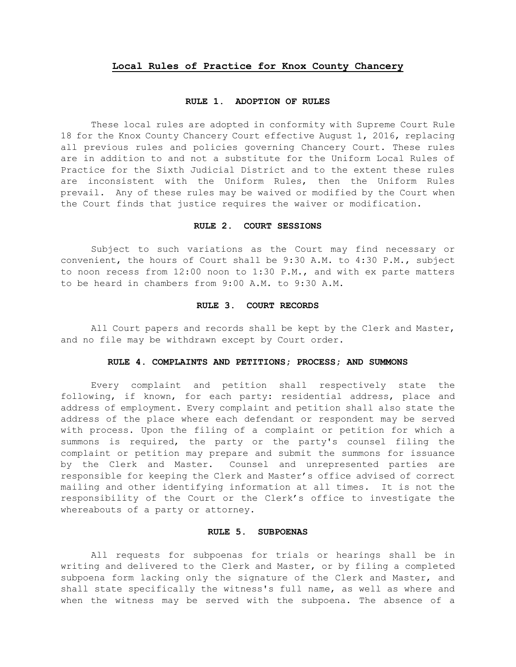# **Local Rules of Practice for Knox County Chancery**

#### **RULE 1. ADOPTION OF RULES**

These local rules are adopted in conformity with Supreme Court Rule 18 for the Knox County Chancery Court effective August 1, 2016, replacing all previous rules and policies governing Chancery Court. These rules are in addition to and not a substitute for the Uniform Local Rules of Practice for the Sixth Judicial District and to the extent these rules are inconsistent with the Uniform Rules, then the Uniform Rules prevail. Any of these rules may be waived or modified by the Court when the Court finds that justice requires the waiver or modification.

#### **RULE 2. COURT SESSIONS**

Subject to such variations as the Court may find necessary or convenient, the hours of Court shall be 9:30 A.M. to 4:30 P.M., subject to noon recess from 12:00 noon to 1:30 P.M., and with ex parte matters to be heard in chambers from 9:00 A.M. to 9:30 A.M.

## **RULE 3. COURT RECORDS**

All Court papers and records shall be kept by the Clerk and Master, and no file may be withdrawn except by Court order.

#### **RULE 4. COMPLAINTS AND PETITIONS; PROCESS; AND SUMMONS**

Every complaint and petition shall respectively state the following, if known, for each party: residential address, place and address of employment. Every complaint and petition shall also state the address of the place where each defendant or respondent may be served with process. Upon the filing of a complaint or petition for which a summons is required, the party or the party's counsel filing the complaint or petition may prepare and submit the summons for issuance by the Clerk and Master. Counsel and unrepresented parties are responsible for keeping the Clerk and Master's office advised of correct mailing and other identifying information at all times. It is not the responsibility of the Court or the Clerk's office to investigate the whereabouts of a party or attorney.

## **RULE 5. SUBPOENAS**

All requests for subpoenas for trials or hearings shall be in writing and delivered to the Clerk and Master, or by filing a completed subpoena form lacking only the signature of the Clerk and Master, and shall state specifically the witness's full name, as well as where and when the witness may be served with the subpoena. The absence of a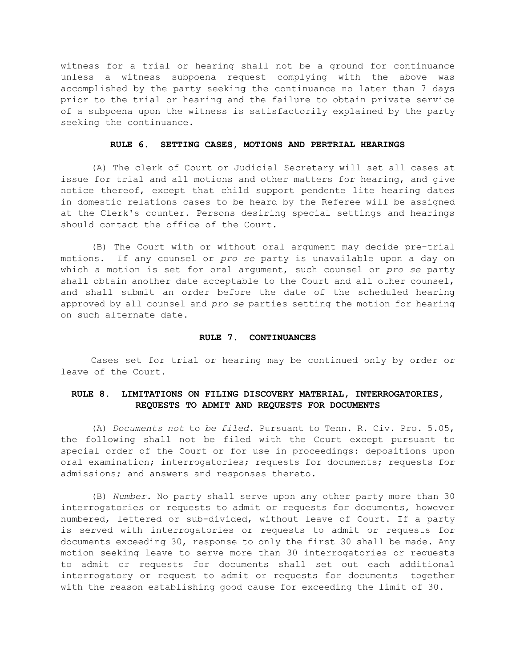witness for a trial or hearing shall not be a ground for continuance unless a witness subpoena request complying with the above was accomplished by the party seeking the continuance no later than 7 days prior to the trial or hearing and the failure to obtain private service of a subpoena upon the witness is satisfactorily explained by the party seeking the continuance.

## **RULE 6. SETTING CASES, MOTIONS AND PERTRIAL HEARINGS**

(A) The clerk of Court or Judicial Secretary will set all cases at issue for trial and all motions and other matters for hearing, and give notice thereof, except that child support pendente lite hearing dates in domestic relations cases to be heard by the Referee will be assigned at the Clerk's counter. Persons desiring special settings and hearings should contact the office of the Court.

(B) The Court with or without oral argument may decide pre-trial motions. If any counsel or *pro se* party is unavailable upon a day on which a motion is set for oral argument, such counsel or *pro se* party shall obtain another date acceptable to the Court and all other counsel, and shall submit an order before the date of the scheduled hearing approved by all counsel and *pro se* parties setting the motion for hearing on such alternate date.

#### **RULE 7. CONTINUANCES**

Cases set for trial or hearing may be continued only by order or leave of the Court.

# **RULE 8. LIMITATIONS ON FILING DISCOVERY MATERIAL, INTERROGATORIES, REQUESTS TO ADMIT AND REQUESTS FOR DOCUMENTS**

(A) *Documents not* to *be filed.* Pursuant to Tenn. R. Civ. Pro. 5.05, the following shall not be filed with the Court except pursuant to special order of the Court or for use in proceedings: depositions upon oral examination; interrogatories; requests for documents; requests for admissions; and answers and responses thereto.

(B) *Number.* No party shall serve upon any other party more than 30 interrogatories or requests to admit or requests for documents, however numbered, lettered or sub-divided, without leave of Court. If a party is served with interrogatories or requests to admit or requests for documents exceeding 30, response to only the first 30 shall be made. Any motion seeking leave to serve more than 30 interrogatories or requests to admit or requests for documents shall set out each additional interrogatory or request to admit or requests for documents together with the reason establishing good cause for exceeding the limit of 30.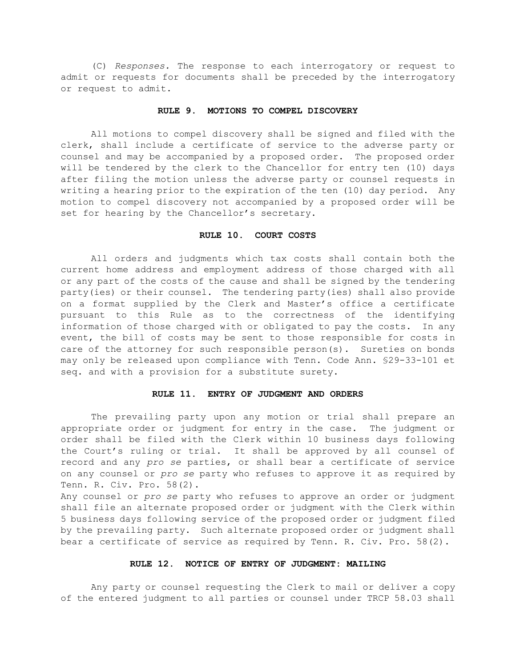(C) *Responses.* The response to each interrogatory or request to admit or requests for documents shall be preceded by the interrogatory or request to admit.

### **RULE 9. MOTIONS TO COMPEL DISCOVERY**

All motions to compel discovery shall be signed and filed with the clerk, shall include a certificate of service to the adverse party or counsel and may be accompanied by a proposed order. The proposed order will be tendered by the clerk to the Chancellor for entry ten (10) days after filing the motion unless the adverse party or counsel requests in writing a hearing prior to the expiration of the ten (10) day period. Any motion to compel discovery not accompanied by a proposed order will be set for hearing by the Chancellor's secretary.

## **RULE 10. COURT COSTS**

All orders and judgments which tax costs shall contain both the current home address and employment address of those charged with all or any part of the costs of the cause and shall be signed by the tendering party(ies) or their counsel. The tendering party(ies) shall also provide on a format supplied by the Clerk and Master's office a certificate pursuant to this Rule as to the correctness of the identifying information of those charged with or obligated to pay the costs. In any event, the bill of costs may be sent to those responsible for costs in care of the attorney for such responsible person(s). Sureties on bonds may only be released upon compliance with Tenn. Code Ann. §29-33-101 et seq. and with a provision for a substitute surety.

## **RULE 11. ENTRY OF JUDGMENT AND ORDERS**

The prevailing party upon any motion or trial shall prepare an appropriate order or judgment for entry in the case. The judgment or order shall be filed with the Clerk within 10 business days following the Court's ruling or trial. It shall be approved by all counsel of record and any *pro se* parties, or shall bear a certificate of service on any counsel or *pro se* party who refuses to approve it as required by Tenn. R. Civ. Pro. 58(2).

Any counsel or *pro se* party who refuses to approve an order or judgment shall file an alternate proposed order or judgment with the Clerk within 5 business days following service of the proposed order or judgment filed by the prevailing party. Such alternate proposed order or judgment shall bear a certificate of service as required by Tenn. R. Civ. Pro. 58(2).

## **RULE 12. NOTICE OF ENTRY OF JUDGMENT: MAILING**

Any party or counsel requesting the Clerk to mail or deliver a copy of the entered judgment to all parties or counsel under TRCP 58.03 shall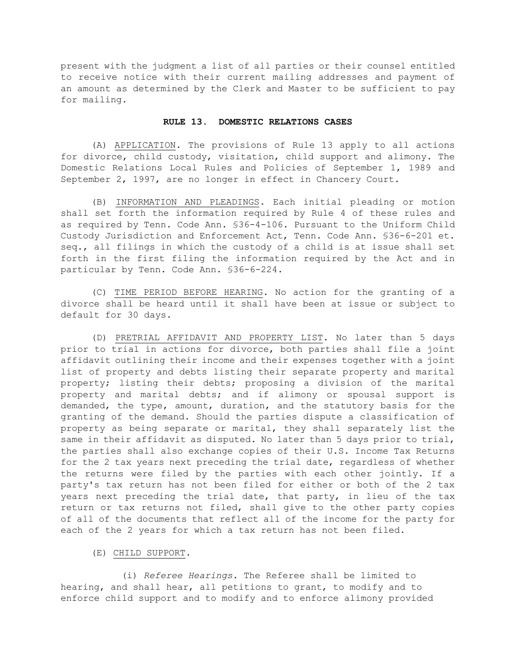present with the judgment a list of all parties or their counsel entitled to receive notice with their current mailing addresses and payment of an amount as determined by the Clerk and Master to be sufficient to pay for mailing.

#### **RULE 13. DOMESTIC RELATIONS CASES**

(A) APPLICATION*.* The provisions of Rule 13 apply to all actions for divorce, child custody, visitation, child support and alimony. The Domestic Relations Local Rules and Policies of September 1, 1989 and September 2, 1997, are no longer in effect in Chancery Court.

(B) INFORMATION AND PLEADINGS*.* Each initial pleading or motion shall set forth the information required by Rule 4 of these rules and as required by Tenn. Code Ann. §36-4-106. Pursuant to the Uniform Child Custody Jurisdiction and Enforcement Act, Tenn. Code Ann. §36-6-201 et. seq., all filings in which the custody of a child is at issue shall set forth in the first filing the information required by the Act and in particular by Tenn. Code Ann. §36-6-224.

(C) TIME PERIOD BEFORE HEARING*.* No action for the granting of a divorce shall be heard until it shall have been at issue or subject to default for 30 days.

(D) PRETRIAL AFFIDAVIT AND PROPERTY LIST. No later than 5 days prior to trial in actions for divorce, both parties shall file a joint affidavit outlining their income and their expenses together with a joint list of property and debts listing their separate property and marital property; listing their debts; proposing a division of the marital property and marital debts; and if alimony or spousal support is demanded, the type, amount, duration, and the statutory basis for the granting of the demand. Should the parties dispute a classification of property as being separate or marital, they shall separately list the same in their affidavit as disputed. No later than 5 days prior to trial, the parties shall also exchange copies of their U.S. Income Tax Returns for the 2 tax years next preceding the trial date, regardless of whether the returns were filed by the parties with each other jointly. If a party's tax return has not been filed for either or both of the 2 tax years next preceding the trial date, that party, in lieu of the tax return or tax returns not filed, shall give to the other party copies of all of the documents that reflect all of the income for the party for each of the 2 years for which a tax return has not been filed.

## (E) CHILD SUPPORT.

(i) *Referee Hearings.* The Referee shall be limited to hearing, and shall hear, all petitions to grant, to modify and to enforce child support and to modify and to enforce alimony provided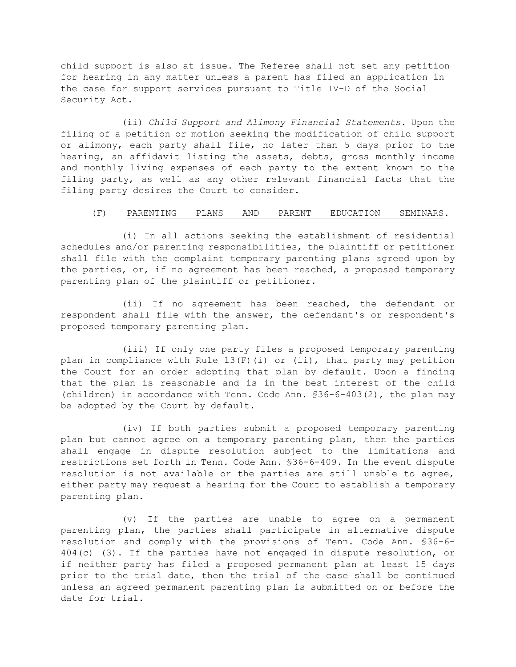child support is also at issue. The Referee shall not set any petition for hearing in any matter unless a parent has filed an application in the case for support services pursuant to Title IV-D of the Social Security Act.

(ii) *Child Support and Alimony Financial Statements.* Upon the filing of a petition or motion seeking the modification of child support or alimony, each party shall file, no later than 5 days prior to the hearing, an affidavit listing the assets, debts, gross monthly income and monthly living expenses of each party to the extent known to the filing party, as well as any other relevant financial facts that the filing party desires the Court to consider.

# (F) PARENTING PLANS AND PARENT EDUCATION SEMINARS*.*

(i) In all actions seeking the establishment of residential schedules and/or parenting responsibilities, the plaintiff or petitioner shall file with the complaint temporary parenting plans agreed upon by the parties, or, if no agreement has been reached, a proposed temporary parenting plan of the plaintiff or petitioner.

(ii) If no agreement has been reached, the defendant or respondent shall file with the answer, the defendant's or respondent's proposed temporary parenting plan.

(iii) If only one party files a proposed temporary parenting plan in compliance with Rule  $13(F)$  (i) or (ii), that party may petition the Court for an order adopting that plan by default. Upon a finding that the plan is reasonable and is in the best interest of the child (children) in accordance with Tenn. Code Ann. §36-6-403(2), the plan may be adopted by the Court by default.

(iv) If both parties submit a proposed temporary parenting plan but cannot agree on a temporary parenting plan, then the parties shall engage in dispute resolution subject to the limitations and restrictions set forth in Tenn. Code Ann. §36-6-409. In the event dispute resolution is not available or the parties are still unable to agree, either party may request a hearing for the Court to establish a temporary parenting plan.

(v) If the parties are unable to agree on a permanent parenting plan, the parties shall participate in alternative dispute resolution and comply with the provisions of Tenn. Code Ann. §36-6- 404(c) (3). If the parties have not engaged in dispute resolution, or if neither party has filed a proposed permanent plan at least 15 days prior to the trial date, then the trial of the case shall be continued unless an agreed permanent parenting plan is submitted on or before the date for trial.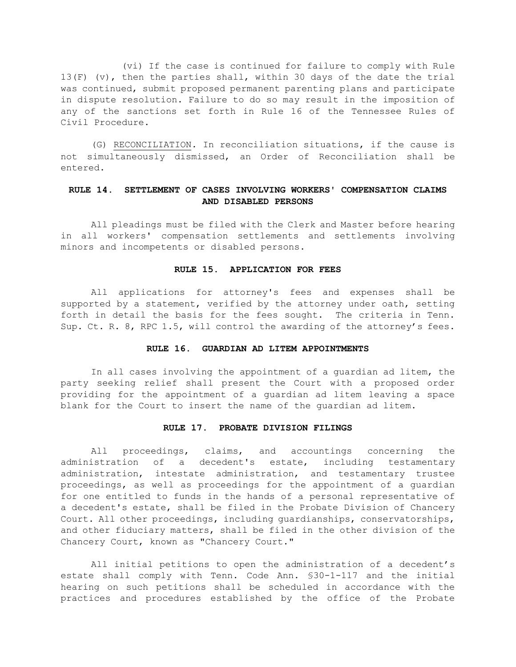(vi) If the case is continued for failure to comply with Rule 13(F) (v), then the parties shall, within 30 days of the date the trial was continued, submit proposed permanent parenting plans and participate in dispute resolution. Failure to do so may result in the imposition of any of the sanctions set forth in Rule 16 of the Tennessee Rules of Civil Procedure.

(G) RECONCILIATION*.* In reconciliation situations, if the cause is not simultaneously dismissed, an Order of Reconciliation shall be entered.

# **RULE 14. SETTLEMENT OF CASES INVOLVING WORKERS' COMPENSATION CLAIMS AND DISABLED PERSONS**

All pleadings must be filed with the Clerk and Master before hearing in all workers' compensation settlements and settlements involving minors and incompetents or disabled persons.

### **RULE 15. APPLICATION FOR FEES**

All applications for attorney's fees and expenses shall be supported by a statement, verified by the attorney under oath, setting forth in detail the basis for the fees sought. The criteria in Tenn. Sup. Ct. R. 8, RPC 1.5, will control the awarding of the attorney's fees.

#### **RULE 16. GUARDIAN AD LITEM APPOINTMENTS**

In all cases involving the appointment of a guardian ad litem, the party seeking relief shall present the Court with a proposed order providing for the appointment of a guardian ad litem leaving a space blank for the Court to insert the name of the guardian ad litem.

#### **RULE 17. PROBATE DIVISION FILINGS**

All proceedings, claims, and accountings concerning the administration of a decedent's estate, including testamentary administration, intestate administration, and testamentary trustee proceedings, as well as proceedings for the appointment of a guardian for one entitled to funds in the hands of a personal representative of a decedent's estate, shall be filed in the Probate Division of Chancery Court. All other proceedings, including guardianships, conservatorships, and other fiduciary matters, shall be filed in the other division of the Chancery Court, known as "Chancery Court."

All initial petitions to open the administration of a decedent's estate shall comply with Tenn. Code Ann. §30-1-117 and the initial hearing on such petitions shall be scheduled in accordance with the practices and procedures established by the office of the Probate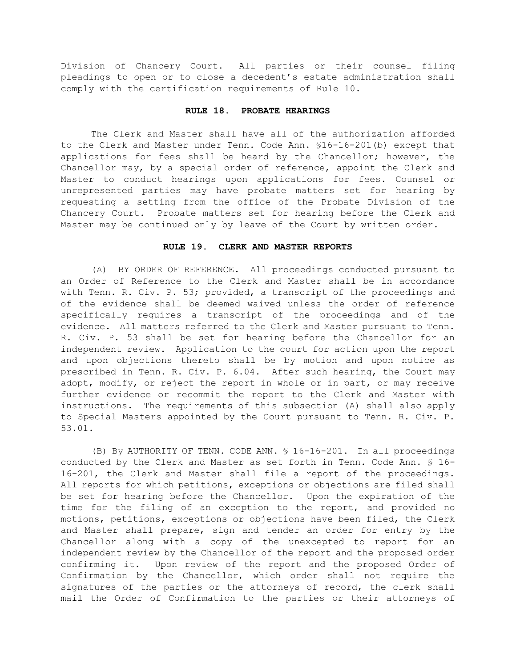Division of Chancery Court. All parties or their counsel filing pleadings to open or to close a decedent's estate administration shall comply with the certification requirements of Rule 10.

## **RULE 18. PROBATE HEARINGS**

The Clerk and Master shall have all of the authorization afforded to the Clerk and Master under Tenn. Code Ann. §16-16-201(b) except that applications for fees shall be heard by the Chancellor; however, the Chancellor may, by a special order of reference, appoint the Clerk and Master to conduct hearings upon applications for fees. Counsel or unrepresented parties may have probate matters set for hearing by requesting a setting from the office of the Probate Division of the Chancery Court. Probate matters set for hearing before the Clerk and Master may be continued only by leave of the Court by written order.

#### **RULE 19. CLERK AND MASTER REPORTS**

(A) BY ORDER OF REFERENCE. All proceedings conducted pursuant to an Order of Reference to the Clerk and Master shall be in accordance with Tenn. R. Civ. P. 53; provided, a transcript of the proceedings and of the evidence shall be deemed waived unless the order of reference specifically requires a transcript of the proceedings and of the evidence. All matters referred to the Clerk and Master pursuant to Tenn. R. Civ. P. 53 shall be set for hearing before the Chancellor for an independent review. Application to the court for action upon the report and upon objections thereto shall be by motion and upon notice as prescribed in Tenn. R. Civ. P. 6.04. After such hearing, the Court may adopt, modify, or reject the report in whole or in part, or may receive further evidence or recommit the report to the Clerk and Master with instructions. The requirements of this subsection (A) shall also apply to Special Masters appointed by the Court pursuant to Tenn. R. Civ. P. 53.01.

(B) By AUTHORITY OF TENN. CODE ANN. § 16-16-201. In all proceedings conducted by the Clerk and Master as set forth in Tenn. Code Ann. § 16- 16-201, the Clerk and Master shall file a report of the proceedings. All reports for which petitions, exceptions or objections are filed shall be set for hearing before the Chancellor. Upon the expiration of the time for the filing of an exception to the report, and provided no motions, petitions, exceptions or objections have been filed, the Clerk and Master shall prepare, sign and tender an order for entry by the Chancellor along with a copy of the unexcepted to report for an independent review by the Chancellor of the report and the proposed order confirming it. Upon review of the report and the proposed Order of Confirmation by the Chancellor, which order shall not require the signatures of the parties or the attorneys of record, the clerk shall mail the Order of Confirmation to the parties or their attorneys of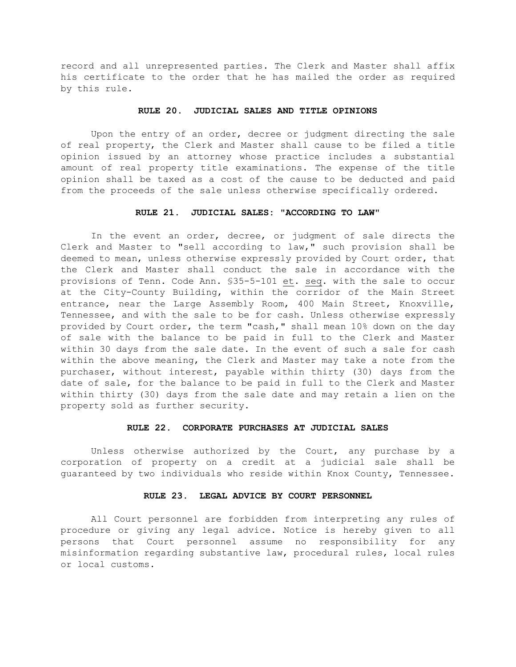record and all unrepresented parties. The Clerk and Master shall affix his certificate to the order that he has mailed the order as required by this rule.

## **RULE 20. JUDICIAL SALES AND TITLE OPINIONS**

Upon the entry of an order, decree or judgment directing the sale of real property, the Clerk and Master shall cause to be filed a title opinion issued by an attorney whose practice includes a substantial amount of real property title examinations. The expense of the title opinion shall be taxed as a cost of the cause to be deducted and paid from the proceeds of the sale unless otherwise specifically ordered.

## **RULE 21. JUDICIAL SALES: "ACCORDING TO LAW"**

In the event an order, decree, or judgment of sale directs the Clerk and Master to "sell according to law," such provision shall be deemed to mean, unless otherwise expressly provided by Court order, that the Clerk and Master shall conduct the sale in accordance with the provisions of Tenn. Code Ann. §35-5-101 et. seq. with the sale to occur at the City-County Building, within the corridor of the Main Street entrance, near the Large Assembly Room, 400 Main Street, Knoxville, Tennessee, and with the sale to be for cash. Unless otherwise expressly provided by Court order, the term "cash," shall mean 10% down on the day of sale with the balance to be paid in full to the Clerk and Master within 30 days from the sale date. In the event of such a sale for cash within the above meaning, the Clerk and Master may take a note from the purchaser, without interest, payable within thirty (30) days from the date of sale, for the balance to be paid in full to the Clerk and Master within thirty (30) days from the sale date and may retain a lien on the property sold as further security.

## **RULE 22. CORPORATE PURCHASES AT JUDICIAL SALES**

Unless otherwise authorized by the Court, any purchase by a corporation of property on a credit at a judicial sale shall be guaranteed by two individuals who reside within Knox County, Tennessee.

# **RULE 23. LEGAL ADVICE BY COURT PERSONNEL**

All Court personnel are forbidden from interpreting any rules of procedure or giving any legal advice. Notice is hereby given to all persons that Court personnel assume no responsibility for any misinformation regarding substantive law, procedural rules, local rules or local customs.